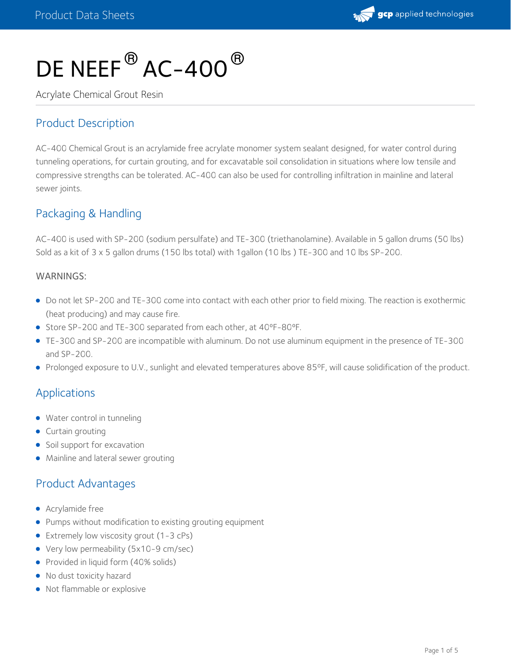

# DE NEEF $^\circledR$  AC-400 $^\circledR$

Acrylate Chemical Grout Resin

# Product Description

AC-400 Chemical Grout is an acrylamide free acrylate monomer system sealant designed, for water control during tunneling operations, for curtain grouting, and for excavatable soil consolidation in situations where low tensile and compressive strengths can be tolerated. AC-400 can also be used for controlling infiltration in mainline and lateral sewer joints.

# Packaging & Handling

AC-400 is used with SP-200 (sodium persulfate) and TE-300 (triethanolamine). Available in 5 gallon drums (50 lbs) Sold as a kit of 3 x 5 gallon drums (150 lbs total) with 1gallon (10 lbs ) TE-300 and 10 lbs SP-200.

#### WARNINGS:

- Do not let SP-200 and TE-300 come into contact with each other prior to field mixing. The reaction is exothermic (heat producing) and may cause fire.
- Store SP-200 and TE-300 separated from each other, at 40°F-80°F.
- TE-300 and SP-200 are incompatible with aluminum. Do not use aluminum equipment in the presence of TE-300 and SP-200.
- Prolonged exposure to U.V., sunlight and elevated temperatures above 85°F, will cause solidification of the product.

# Applications

- Water control in tunneling
- Curtain grouting
- Soil support for excavation
- Mainline and lateral sewer grouting

# Product Advantages

- **•** Acrylamide free
- **•** Pumps without modification to existing grouting equipment
- Extremely low viscosity grout (1-3 cPs)
- Very low permeability (5x10-9 cm/sec)
- Provided in liquid form (40% solids)
- No dust toxicity hazard
- Not flammable or explosive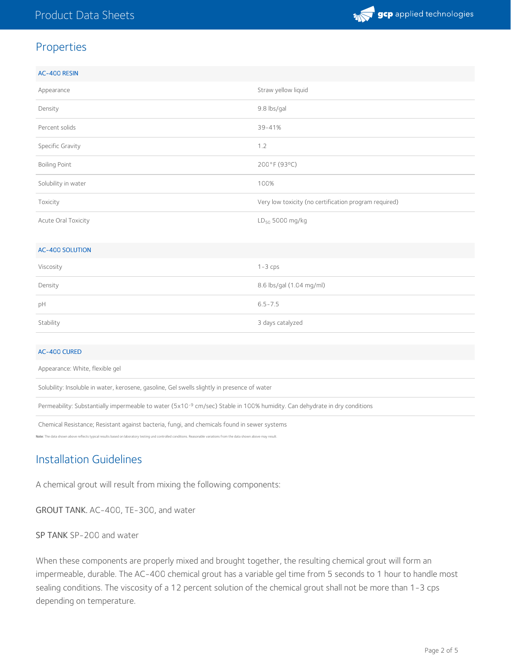

# Properties

| AC-400 RESIN           |                                                       |  |
|------------------------|-------------------------------------------------------|--|
| Appearance             | Straw yellow liquid                                   |  |
| Density                | 9.8 lbs/gal                                           |  |
| Percent solids         | 39-41%                                                |  |
| Specific Gravity       | 1.2                                                   |  |
| <b>Boiling Point</b>   | 200°F (93°C)                                          |  |
| Solubility in water    | 100%                                                  |  |
| Toxicity               | Very low toxicity (no certification program required) |  |
| Acute Oral Toxicity    | LD <sub>50</sub> 5000 mg/kg                           |  |
|                        |                                                       |  |
| <b>AC-400 SOLUTION</b> |                                                       |  |
| Viscosity              | $1 - 3$ cps                                           |  |
| Density                | 8.6 lbs/gal (1.04 mg/ml)                              |  |
| pH                     | $6.5 - 7.5$                                           |  |
| Stability              | 3 days catalyzed                                      |  |
|                        |                                                       |  |

#### AC-400 CURED

Appearance: White, flexible gel

Solubility: Insoluble in water, kerosene, gasoline, Gel swells slightly in presence of water

Permeability: Substantially impermeable to water (5x10<sup>-9</sup> cm/sec) Stable in 100% humidity. Can dehydrate in dry conditions

Chemical Resistance; Resistant against bacteria, fungi, and chemicals found in sewer systems

Note: The data shown above reflects typical results based on laboratory testing und controlled controlled controlled controlled controlled controlled controlled controlled controlled controlled controlled controlled contro

# Installation Guidelines

A chemical grout will result from mixing the following components:

GROUT TANK. AC-400, TE-300, and water

SP TANK SP-200 and water

When these components are properly mixed and brought together, the resulting chemical grout will form an impermeable, durable. The AC-400 chemical grout has a variable gel time from 5 seconds to 1 hour to handle most sealing conditions. The viscosity of a 12 percent solution of the chemical grout shall not be more than 1-3 cps depending on temperature.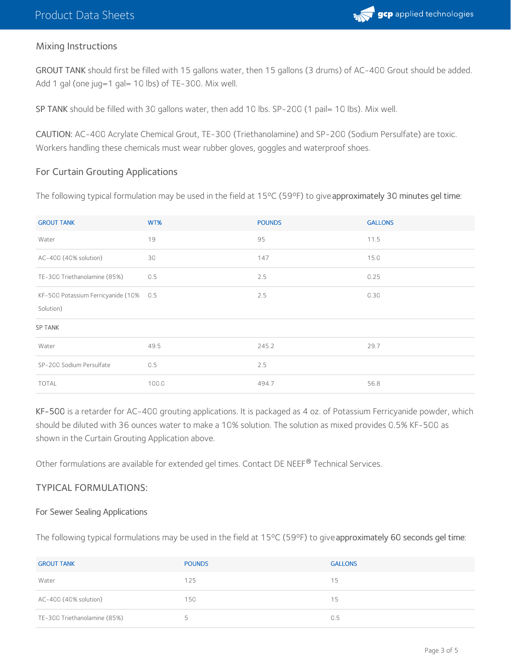

### Mixing Instructions

GROUT TANK should first be filled with 15 gallons water, then 15 gallons (3 drums) of AC-400 Grout should be added. Add 1 gal (one jug=1 gal= 10 lbs) of TE-300. Mix well.

SP TANK should be filled with 30 gallons water, then add 10 lbs. SP-200 (1 pail= 10 lbs). Mix well.

CAUTION: AC-400 Acrylate Chemical Grout, TE-300 (Triethanolamine) and SP-200 (Sodium Persulfate) are toxic. Workers handling these chemicals must wear rubber gloves, goggles and waterproof shoes.

#### For Curtain Grouting Applications

The following typical formulation may be used in the field at 15°C (59°F) to give approximately 30 minutes gel time:

| <b>GROUT TANK</b>                      | WT%   | <b>POUNDS</b> | <b>GALLONS</b> |
|----------------------------------------|-------|---------------|----------------|
| Water                                  | 19    | 95            | 11.5           |
| AC-400 (40% solution)                  | 30    | 147           | 15.0           |
| TE-300 Triethanolamine (85%)           | 0.5   | 2.5           | 0.25           |
| KF-500 Potassium Ferricyanide (10% 0.5 |       | 2.5           | 0.30           |
| Solution)                              |       |               |                |
| <b>SP TANK</b>                         |       |               |                |
| Water                                  | 49.5  | 245.2         | 29.7           |
| SP-200 Sodium Persulfate               | 0.5   | 2.5           |                |
| <b>TOTAL</b>                           | 100.0 | 494.7         | 56.8           |

KF-500 is a retarder for AC-400 grouting applications. It is packaged as 4 oz. of Potassium Ferricyanide powder, which should be diluted with 36 ounces water to make a 10% solution. The solution as mixed provides 0.5% KF-500 as shown in the Curtain Grouting Application above.

Other formulations are available for extended gel times. Contact DE NEEF® Technical Services.

#### TYPICAL FORMULATIONS:

#### For Sewer Sealing Applications

The following typical formulations may be used in the field at 15°C (59°F) to give approximately 60 seconds gel time:

| <b>GROUT TANK</b>            | <b>POUNDS</b> | <b>GALLONS</b> |
|------------------------------|---------------|----------------|
| Water                        | 125           | 15             |
| AC-400 (40% solution)        | 150           | 15             |
| TE-300 Triethanolamine (85%) |               | 0.5            |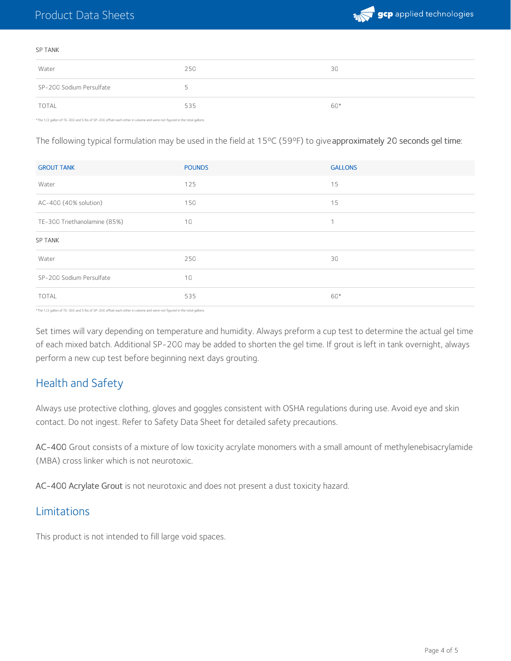

#### SP TANK

| Water                    | 250 | 30    |
|--------------------------|-----|-------|
| SP-200 Sodium Persulfate |     |       |
| <b>TOTAL</b>             | 535 | $60*$ |

\*The 1/2 gallon of TE-300 and 5 lbs of SP-200 offset each other in volume and were not figured in the total gallons.

The following typical formulation may be used in the field at 15°C (59°F) to give approximately 20 seconds gel time:

| <b>GROUT TANK</b>            | <b>POUNDS</b> | <b>GALLONS</b> |
|------------------------------|---------------|----------------|
| Water                        | 125           | 15             |
| AC-400 (40% solution)        | 150           | 15             |
| TE-300 Triethanolamine (85%) | 10            | 1              |
| <b>SP TANK</b>               |               |                |
| Water                        | 250           | 30             |
| SP-200 Sodium Persulfate     | 10            |                |
| <b>TOTAL</b>                 | 535           | 60*            |

\*The 1/2 gallon of TE-300 and 5 lbs of SP-200 offset each other in volume and were not figured in the total gallons.

Set times will vary depending on temperature and humidity. Always preform a cup test to determine the actual gel time of each mixed batch. Additional SP-200 may be added to shorten the gel time. If grout is left in tank overnight, always perform a new cup test before beginning next days grouting.

# Health and Safety

Always use protective clothing, gloves and goggles consistent with OSHA regulations during use. Avoid eye and skin contact. Do not ingest. Refer to Safety Data Sheet for detailed safety precautions.

AC-400 Grout consists of a mixture of low toxicity acrylate monomers with a small amount of methylenebisacrylamide (MBA) cross linker which is not neurotoxic.

AC-400 Acrylate Grout is not neurotoxic and does not present a dust toxicity hazard.

# Limitations

This product is not intended to fill large void spaces.